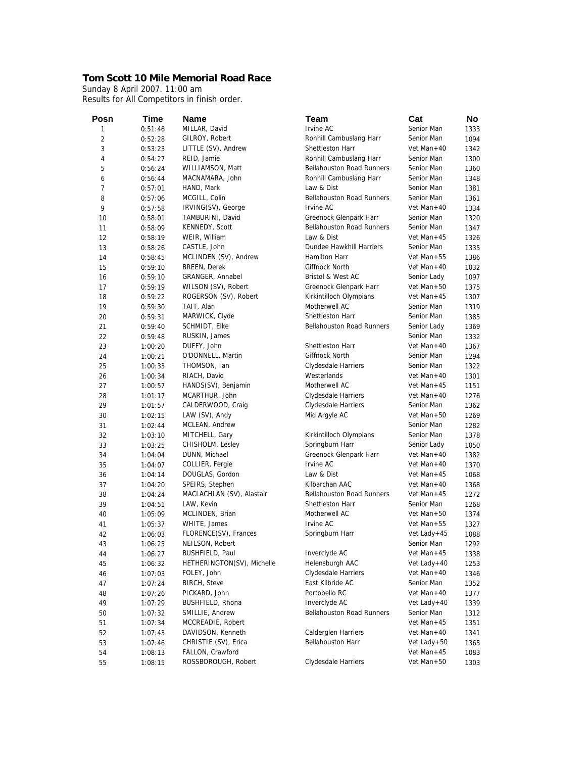## **Tom Scott 10 Mile Memorial Road Race**

Sunday 8 April 2007. 11:00 am Results for All Competitors in finish order.

| Posn           | <b>Time</b> | Name                                          | Team                             | Cat           | No   |
|----------------|-------------|-----------------------------------------------|----------------------------------|---------------|------|
| 1              | 0:51:46     | MILLAR, David                                 | Irvine AC                        | Senior Man    | 1333 |
| $\overline{c}$ | 0:52:28     | GILROY, Robert                                | Ronhill Cambuslang Harr          | Senior Man    | 1094 |
| 3              | 0:53:23     | LITTLE (SV), Andrew                           | Shettleston Harr                 | Vet Man+40    | 1342 |
| 4              | 0:54:27     | REID, Jamie                                   | Ronhill Cambuslang Harr          | Senior Man    | 1300 |
| 5              | 0:56:24     | WILLIAMSON, Matt                              | <b>Bellahouston Road Runners</b> | Senior Man    | 1360 |
| 6              | 0:56:44     | MACNAMARA, John                               | Ronhill Cambuslang Harr          | Senior Man    | 1348 |
| $\overline{7}$ | 0:57:01     | HAND, Mark                                    | Law & Dist                       | Senior Man    | 1381 |
| 8              | 0:57:06     | MCGILL, Colin                                 | <b>Bellahouston Road Runners</b> | Senior Man    | 1361 |
| 9              | 0:57:58     | IRVING(SV), George                            | Irvine AC                        | Vet Man+40    | 1334 |
| 10             | 0:58:01     | TAMBURINI, David                              | Greenock Glenpark Harr           | Senior Man    | 1320 |
| 11             | 0:58:09     | KENNEDY, Scott                                | <b>Bellahouston Road Runners</b> | Senior Man    | 1347 |
| 12             | 0:58:19     | WEIR, William                                 | Law & Dist                       | Vet Man+45    | 1326 |
| 13             | 0:58:26     | CASTLE, John                                  | Dundee Hawkhill Harriers         | Senior Man    | 1335 |
| 14             | 0:58:45     | MCLINDEN (SV), Andrew                         | Hamilton Harr                    | Vet Man+55    | 1386 |
| 15             | 0:59:10     | <b>BREEN, Derek</b>                           | <b>Giffnock North</b>            | Vet Man+40    | 1032 |
| 16             | 0:59:10     | <b>GRANGER, Annabel</b>                       | Bristol & West AC                | Senior Lady   | 1097 |
| 17             | 0:59:19     | WILSON (SV), Robert                           | Greenock Glenpark Harr           | Vet Man+50    | 1375 |
| 18             | 0:59:22     | ROGERSON (SV), Robert                         | Kirkintilloch Olympians          | Vet Man+45    | 1307 |
| 19             | 0:59:30     | TAIT, Alan                                    | Motherwell AC                    | Senior Man    | 1319 |
| 20             | 0:59:31     | MARWICK, Clyde                                | Shettleston Harr                 | Senior Man    | 1385 |
| 21             | 0:59:40     | SCHMIDT, Elke                                 | <b>Bellahouston Road Runners</b> | Senior Lady   | 1369 |
| 22             | 0:59:48     | RUSKIN, James                                 |                                  | Senior Man    | 1332 |
| 23             | 1:00:20     | DUFFY, John                                   | Shettleston Harr                 | Vet Man+40    | 1367 |
| 24             | 1:00:21     | O'DONNELL, Martin                             | <b>Giffnock North</b>            | Senior Man    | 1294 |
| 25             | 1:00:33     | THOMSON, Ian                                  | Clydesdale Harriers              | Senior Man    | 1322 |
| 26             | 1:00:34     | RIACH, David                                  | Westerlands                      | Vet Man+40    | 1301 |
| 27             | 1:00:57     | HANDS(SV), Benjamin                           | Motherwell AC                    | Vet Man $+45$ | 1151 |
| 28             | 1:01:17     | MCARTHUR, John                                | Clydesdale Harriers              | Vet Man+40    | 1276 |
| 29             | 1:01:57     | CALDERWOOD, Craig                             | Clydesdale Harriers              | Senior Man    | 1362 |
| 30             | 1:02:15     | LAW (SV), Andy                                | Mid Argyle AC                    | Vet Man+50    | 1269 |
| 31             | 1:02:44     | MCLEAN, Andrew                                |                                  | Senior Man    | 1282 |
| 32             | 1:03:10     | MITCHELL, Gary                                | Kirkintilloch Olympians          | Senior Man    | 1378 |
| 33             | 1:03:25     | CHISHOLM, Lesley                              | Springburn Harr                  | Senior Lady   | 1050 |
| 34             | 1:04:04     | DUNN, Michael                                 | Greenock Glenpark Harr           | Vet Man+40    | 1382 |
| 35             | 1:04:07     | COLLIER, Fergie                               | Irvine AC                        | Vet Man+40    | 1370 |
| 36             | 1:04:14     | DOUGLAS, Gordon                               | Law & Dist                       | Vet Man $+45$ | 1068 |
| 37             | 1:04:20     | SPEIRS, Stephen                               | Kilbarchan AAC                   | Vet Man+40    | 1368 |
| 38             | 1:04:24     | MACLACHLAN (SV), Alastair                     | <b>Bellahouston Road Runners</b> | Vet Man+45    | 1272 |
| 39             | 1:04:51     | LAW, Kevin                                    | Shettleston Harr                 | Senior Man    | 1268 |
| 40             | 1:05:09     | MCLINDEN, Brian                               | Motherwell AC                    | Vet Man+50    | 1374 |
| 41             |             | WHITE, James                                  | Irvine AC                        | Vet Man+55    | 1327 |
| 42             | 1:05:37     | FLORENCE(SV), Frances                         |                                  | Vet Lady+45   | 1088 |
|                | 1:06:03     |                                               | Springburn Harr                  |               |      |
| 43             | 1:06:25     | NEILSON, Robert                               | Inverclyde AC                    | Senior Man    | 1292 |
| 44             | 1:06:27     | BUSHFIELD, Paul<br>HETHERINGTON(SV), Michelle | Helensburgh AAC                  | Vet Man+45    | 1338 |
| 45             | 1:06:32     |                                               |                                  | Vet Lady+40   | 1253 |
| 46             | 1:07:03     | FOLEY, John                                   | Clydesdale Harriers              | Vet Man+40    | 1346 |
| 47             | 1:07:24     | <b>BIRCH, Steve</b>                           | East Kilbride AC                 | Senior Man    | 1352 |
| 48             | 1:07:26     | PICKARD, John                                 | Portobello RC                    | Vet Man+40    | 1377 |
| 49             | 1:07:29     | BUSHFIELD, Rhona                              | Inverclyde AC                    | Vet Lady+40   | 1339 |
| 50             | 1:07:32     | SMILLIE, Andrew                               | <b>Bellahouston Road Runners</b> | Senior Man    | 1312 |
| 51             | 1:07:34     | MCCREADIE, Robert                             |                                  | Vet Man+45    | 1351 |
| 52             | 1:07:43     | DAVIDSON, Kenneth                             | Calderglen Harriers              | Vet Man+40    | 1341 |
| 53             | 1:07:46     | CHRISTIE (SV), Erica                          | Bellahouston Harr                | Vet Lady+50   | 1365 |
| 54             | 1:08:13     | FALLON, Crawford                              |                                  | Vet Man+45    | 1083 |
| 55             | 1:08:15     | ROSSBOROUGH, Robert                           | Clydesdale Harriers              | Vet Man+50    | 1303 |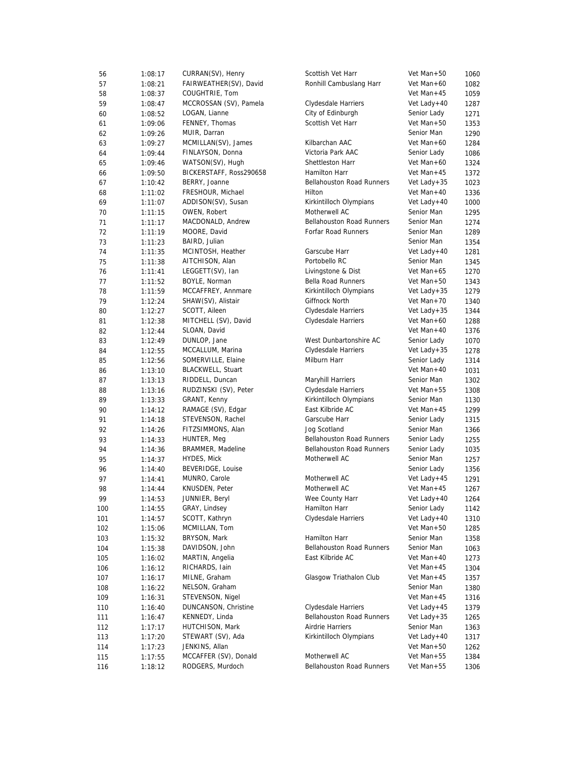| 56  | 1:08:17 | CURRAN(SV), Henry        | Scottish Vet Harr                | Vet Man+50      | 1060 |
|-----|---------|--------------------------|----------------------------------|-----------------|------|
| 57  | 1:08:21 | FAIRWEATHER(SV), David   | Ronhill Cambuslang Harr          | Vet Man+60      | 1082 |
| 58  | 1:08:37 | COUGHTRIE, Tom           |                                  | Vet Man+45      | 1059 |
| 59  | 1:08:47 | MCCROSSAN (SV), Pamela   | Clydesdale Harriers              | Vet Lady+40     | 1287 |
| 60  | 1:08:52 | LOGAN, Lianne            | City of Edinburgh                | Senior Lady     | 1271 |
| 61  | 1:09:06 | FENNEY, Thomas           | Scottish Vet Harr                | Vet Man+50      | 1353 |
| 62  | 1:09:26 | MUIR, Darran             |                                  | Senior Man      | 1290 |
| 63  | 1:09:27 | MCMILLAN(SV), James      | Kilbarchan AAC                   | Vet Man+60      | 1284 |
| 64  | 1:09:44 | FINLAYSON, Donna         | Victoria Park AAC                | Senior Lady     | 1086 |
| 65  | 1:09:46 | WATSON(SV), Hugh         | Shettleston Harr                 | Vet Man+60      | 1324 |
| 66  | 1:09:50 | BICKERSTAFF, Ross290658  | Hamilton Harr                    | Vet Man+45      | 1372 |
| 67  | 1:10:42 | BERRY, Joanne            | <b>Bellahouston Road Runners</b> | Vet Lady + $35$ | 1023 |
| 68  | 1:11:02 | FRESHOUR, Michael        | Hilton                           | Vet Man+40      | 1336 |
| 69  | 1:11:07 | ADDISON(SV), Susan       | Kirkintilloch Olympians          | Vet Lady+40     | 1000 |
| 70  | 1:11:15 | OWEN, Robert             | Motherwell AC                    | Senior Man      | 1295 |
|     |         | MACDONALD, Andrew        | <b>Bellahouston Road Runners</b> | Senior Man      |      |
| 71  | 1:11:17 |                          | Forfar Road Runners              | Senior Man      | 1274 |
| 72  | 1:11:19 | MOORE, David             |                                  |                 | 1289 |
| 73  | 1:11:23 | BAIRD, Julian            |                                  | Senior Man      | 1354 |
| 74  | 1:11:35 | MCINTOSH, Heather        | Garscube Harr                    | Vet Lady+40     | 1281 |
| 75  | 1:11:38 | AITCHISON, Alan          | Portobello RC                    | Senior Man      | 1345 |
| 76  | 1:11:41 | LEGGETT(SV), Ian         | Livingstone & Dist               | Vet Man+65      | 1270 |
| 77  | 1:11:52 | BOYLE, Norman            | <b>Bella Road Runners</b>        | Vet Man+50      | 1343 |
| 78  | 1:11:59 | MCCAFFREY, Annmare       | Kirkintilloch Olympians          | Vet Lady + $35$ | 1279 |
| 79  | 1:12:24 | SHAW(SV), Alistair       | Giffnock North                   | Vet Man+70      | 1340 |
| 80  | 1:12:27 | SCOTT, Aileen            | Clydesdale Harriers              | Vet Lady + $35$ | 1344 |
| 81  | 1:12:38 | MITCHELL (SV), David     | Clydesdale Harriers              | Vet Man+60      | 1288 |
| 82  | 1:12:44 | SLOAN, David             |                                  | Vet Man+40      | 1376 |
| 83  | 1:12:49 | DUNLOP, Jane             | West Dunbartonshire AC           | Senior Lady     | 1070 |
| 84  | 1:12:55 | MCCALLUM, Marina         | Clydesdale Harriers              | Vet Lady + $35$ | 1278 |
| 85  | 1:12:56 | SOMERVILLE, Elaine       | Milburn Harr                     | Senior Lady     | 1314 |
| 86  | 1:13:10 | <b>BLACKWELL, Stuart</b> |                                  | Vet Man+40      | 1031 |
| 87  | 1:13:13 | RIDDELL, Duncan          | Maryhill Harriers                | Senior Man      | 1302 |
| 88  | 1:13:16 | RUDZINSKI (SV), Peter    | Clydesdale Harriers              | Vet Man+55      | 1308 |
| 89  | 1:13:33 | GRANT, Kenny             | Kirkintilloch Olympians          | Senior Man      | 1130 |
| 90  | 1:14:12 | RAMAGE (SV), Edgar       | East Kilbride AC                 | Vet Man+45      | 1299 |
| 91  | 1:14:18 | STEVENSON, Rachel        | Garscube Harr                    | Senior Lady     | 1315 |
| 92  | 1:14:26 | FITZSIMMONS, Alan        | Jog Scotland                     | Senior Man      | 1366 |
| 93  | 1:14:33 | HUNTER, Meg              | <b>Bellahouston Road Runners</b> | Senior Lady     | 1255 |
| 94  | 1:14:36 | BRAMMER, Madeline        | <b>Bellahouston Road Runners</b> | Senior Lady     | 1035 |
| 95  | 1:14:37 | HYDES, Mick              | Motherwell AC                    | Senior Man      | 1257 |
| 96  | 1:14:40 | BEVERIDGE, Louise        |                                  | Senior Lady     | 1356 |
| 97  | 1:14:41 | MUNRO, Carole            | Motherwell AC                    | Vet Lady+45     | 1291 |
| 98  | 1:14:44 | KNUSDEN, Peter           | Motherwell AC                    | Vet Man $+45$   | 1267 |
| 99  | 1:14:53 | JUNNIER, Beryl           | Wee County Harr                  | Vet Lady+40     | 1264 |
| 100 | 1:14:55 | GRAY, Lindsey            | Hamilton Harr                    | Senior Lady     | 1142 |
| 101 | 1:14:57 | SCOTT, Kathryn           | Clydesdale Harriers              | Vet Lady+40     | 1310 |
| 102 | 1:15:06 | MCMILLAN, Tom            |                                  | Vet Man+50      | 1285 |
| 103 | 1:15:32 | BRYSON, Mark             | Hamilton Harr                    | Senior Man      | 1358 |
| 104 | 1:15:38 | DAVIDSON, John           | <b>Bellahouston Road Runners</b> | Senior Man      | 1063 |
| 105 |         | MARTIN, Angelia          | East Kilbride AC                 | Vet Man+40      | 1273 |
|     | 1:16:02 | RICHARDS, Iain           |                                  |                 |      |
| 106 | 1:16:12 |                          |                                  | Vet Man+45      | 1304 |
| 107 | 1:16:17 | MILNE, Graham            | Glasgow Triathalon Club          | Vet Man+45      | 1357 |
| 108 | 1:16:22 | NELSON, Graham           |                                  | Senior Man      | 1380 |
| 109 | 1:16:31 | STEVENSON, Nigel         |                                  | Vet Man+45      | 1316 |
| 110 | 1:16:40 | DUNCANSON, Christine     | Clydesdale Harriers              | Vet Lady+45     | 1379 |
| 111 | 1:16:47 | KENNEDY, Linda           | <b>Bellahouston Road Runners</b> | Vet Lady + $35$ | 1265 |
| 112 | 1:17:17 | HUTCHISON, Mark          | Airdrie Harriers                 | Senior Man      | 1363 |
| 113 | 1:17:20 | STEWART (SV), Ada        | Kirkintilloch Olympians          | Vet Lady+40     | 1317 |
| 114 | 1:17:23 | JENKINS, Allan           |                                  | Vet Man+50      | 1262 |
| 115 | 1:17:55 | MCCAFFER (SV), Donald    | Motherwell AC                    | Vet Man+55      | 1384 |
| 116 | 1:18:12 | RODGERS, Murdoch         | <b>Bellahouston Road Runners</b> | Vet Man+55      | 1306 |